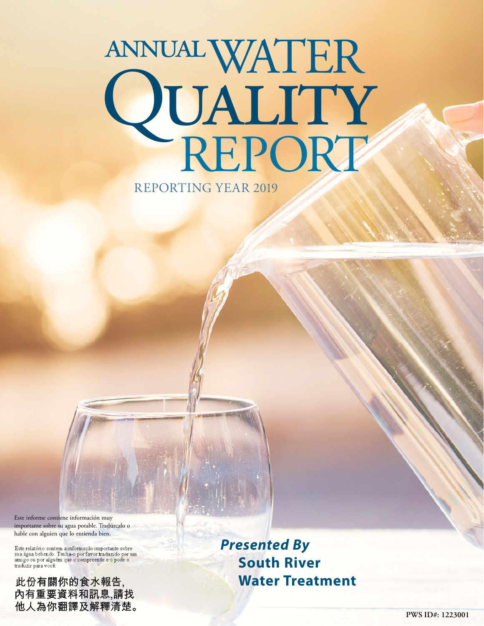# WATER annual QUALITY<br>REPORT REPORTING YEAR 2019

Este informe contiene información muy importante sobre su agua potable. Tradúzcalo o hable con alguien que lo entienda bien.

Este relatório contem a informação importante sobre<br>sua água bebendo. Tenha-o por favor traduzido por um<br>amigo ou por alguém que o compreende e o pode o<br>traduzir para você.

此份有關你的食<mark>水報告,</mark><br>內有重要資料和訊息,請找 他人為你翻譯及解釋清楚。 *Presented By* **South River Water Treatment**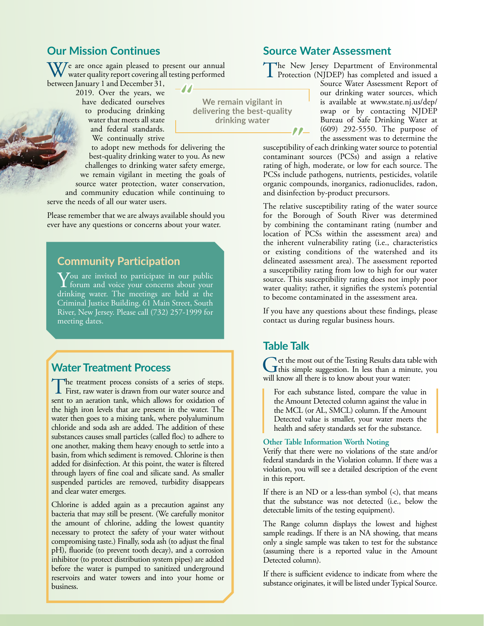## **Our Mission Continues**

 $\overline{V}$ e are once again pleased to present our annual water quality report covering all testing performed between January 1 and December 31,

2019. Over the years, we have dedicated ourselves to producing drinking water that meets all state and federal standards. We continually strive

to adopt new methods for delivering the best-quality drinking water to you. As new challenges to drinking water safety emerge, we remain vigilant in meeting the goals of source water protection, water conservation, and community education while continuing to

serve the needs of all our water users.

Please remember that we are always available should you ever have any questions or concerns about your water.

## **Community Participation**

**Y**ou are invited to participate in our public<br>forum and voice your concerns about your drinking water. The meetings are held at the Criminal Justice Building, 61 Main Street, South River, New Jersey. Please call (732) 257-1999 for meeting dates.

## **Water Treatment Process**

The treatment process consists of a series of steps.<br>First, raw water is drawn from our water source and sent to an aeration tank, which allows for oxidation of the high iron levels that are present in the water. The water then goes to a mixing tank, where polyaluminum chloride and soda ash are added. The addition of these substances causes small particles (called floc) to adhere to one another, making them heavy enough to settle into a basin, from which sediment is removed. Chlorine is then added for disinfection. At this point, the water is filtered through layers of fine coal and silicate sand. As smaller suspended particles are removed, turbidity disappears and clear water emerges.

Chlorine is added again as a precaution against any bacteria that may still be present. (We carefully monitor the amount of chlorine, adding the lowest quantity necessary to protect the safety of your water without compromising taste.) Finally, soda ash (to adjust the final pH), fluoride (to prevent tooth decay), and a corrosion inhibitor (to protect distribution system pipes) are added before the water is pumped to sanitized underground reservoirs and water towers and into your home or business.

#### **Source Water Assessment**

The New Jersey Department of Environmental **I** Protection (NJDEP) has completed and issued a

Source Water Assessment Report of our drinking water sources, which is available at [www.state.nj.us/dep/](http://www.state.nj.us/dep/swap) [swap](http://www.state.nj.us/dep/swap) or by contacting NJDEP Bureau of Safe Drinking Water at (609) 292-5550. The purpose of the assessment was to determine the

susceptibility of each drinking water source to potential contaminant sources (PCSs) and assign a relative rating of high, moderate, or low for each source. The PCSs include pathogens, nutrients, pesticides, volatile organic compounds, inorganics, radionuclides, radon, and disinfection by-product precursors.

The relative susceptibility rating of the water source for the Borough of South River was determined by combining the contaminant rating (number and location of PCSs within the assessment area) and the inherent vulnerability rating (i.e., characteristics or existing conditions of the watershed and its delineated assessment area). The assessment reported a susceptibility rating from low to high for our water source. This susceptibility rating does not imply poor water quality; rather, it signifies the system's potential to become contaminated in the assessment area.

If you have any questions about these findings, please contact us during regular business hours.

#### **Table Talk**

**We remain vigilant in delivering the best-quality drinking water**

> Get the most out of the Testing Results data table with this simple suggestion. In less than a minute, you will know all there is to know about your water:

For each substance listed, compare the value in the Amount Detected column against the value in the MCL (or AL, SMCL) column. If the Amount Detected value is smaller, your water meets the health and safety standards set for the substance.

#### **Other Table Information Worth Noting**

Verify that there were no violations of the state and/or federal standards in the Violation column. If there was a violation, you will see a detailed description of the event in this report.

If there is an ND or a less-than symbol  $(\le)$ , that means that the substance was not detected (i.e., below the detectable limits of the testing equipment).

The Range column displays the lowest and highest sample readings. If there is an NA showing, that means only a single sample was taken to test for the substance (assuming there is a reported value in the Amount Detected column).

If there is sufficient evidence to indicate from where the substance originates, it will be listed under Typical Source.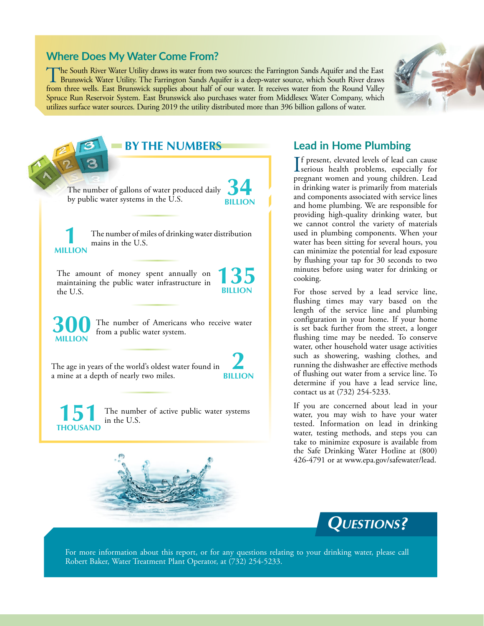#### **Where Does My Water Come From?**

The South River Water Utility draws its water from two sources: the Farrington Sands Aquifer and the East Brunswick Water Utility. The Farrington Sands Aquifer is a deep-water source, which South River draws from the Regis from three wells. East Brunswick supplies about half of our water. It receives water from the Round Valley Spruce Run Reservoir System. East Brunswick also purchases water from Middlesex Water Company, which utilizes surface water sources. During 2019 the utility distributed more than 396 billion gallons of water.



The number of gallons of water produced daily by public water systems in the U.S. **34 BILLION** The age in years of the world's oldest water found in a mine at a depth of nearly two miles. **2 BILLION** The amount of money spent annually on maintaining the public water infrastructure in the U.S. **135 BILLION** The number of miles of drinking water distribution **1** mains in the U.S. **MILLION 300** The number of Americans who receive water from a public water system. **BY THE NUMBERS**

The number of active public water systems in the U.S. **THOUSAND**



#### **Lead in Home Plumbing**

If present, elevated levels of lead can cause<br>serious health problems, especially for **The present, elevated levels of lead can cause** pregnant women and young children. Lead in drinking water is primarily from materials and components associated with service lines and home plumbing. We are responsible for providing high-quality drinking water, but we cannot control the variety of materials used in plumbing components. When your water has been sitting for several hours, you can minimize the potential for lead exposure by flushing your tap for 30 seconds to two minutes before using water for drinking or cooking.

For those served by a lead service line, flushing times may vary based on the length of the service line and plumbing configuration in your home. If your home is set back further from the street, a longer flushing time may be needed. To conserve water, other household water usage activities such as showering, washing clothes, and running the dishwasher are effective methods of flushing out water from a service line. To determine if you have a lead service line, contact us at (732) 254-5233.

If you are concerned about lead in your water, you may wish to have your water tested. Information on lead in drinking water, testing methods, and steps you can take to minimize exposure is available from the Safe Drinking Water Hotline at (800) 426-4791 or at [www.epa.gov/safewater/lead.](http://www.epa.gov/safewater/lead)



For more information about this report, or for any questions relating to your drinking water, please call Robert Baker, Water Treatment Plant Operator, at (732) 254-5233.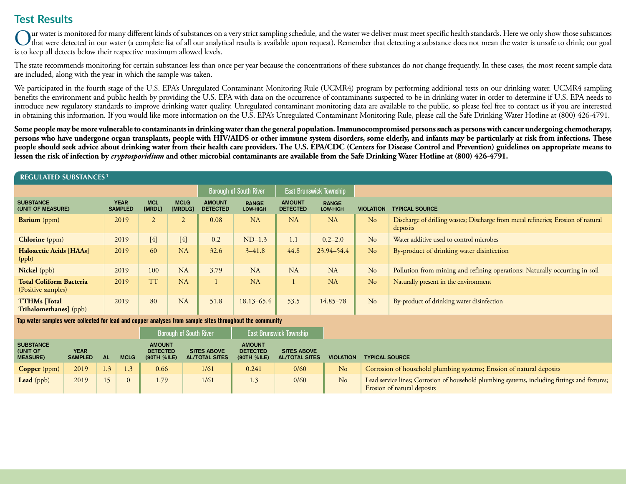# **Test Results**

Our water is monitored for many different kinds of substances on a very strict sampling schedule, and the water we deliver must meet specific health standards. Here we only show those substances<br>that were detected in our w is to keep all detects below their respective maximum allowed levels.

The state recommends monitoring for certain substances less than once per year because the concentrations of these substances do not change frequently. In these cases, the most recent sample data are included, along with the year in which the sample was taken.

We participated in the fourth stage of the U.S. EPA's Unregulated Contaminant Monitoring Rule (UCMR4) program by performing additional tests on our drinking water. UCMR4 sampling benefits the environment and public health by providing the U.S. EPA with data on the occurrence of contaminants suspected to be in drinking water in order to determine if U.S. EPA needs to introduce new regulatory standards to improve drinking water quality. Unregulated contaminant monitoring data are available to the public, so please feel free to contact us if you are interested in obtaining this information. If you would like more information on the U.S. EPA's Unregulated Contaminant Monitoring Rule, please call the Safe Drinking Water Hotline at (800) 426-4791.

**Some people may be more vulnerable to contaminants in drinking water than the general population. Immunocompromised persons such as persons with cancer undergoing chemotherapy, persons who have undergone organ transplants, people with HIV/AIDS or other immune system disorders, some elderly, and infants may be particularly at risk from infections. These people should seek advice about drinking water from their health care providers. The U.S. EPA/CDC (Centers for Disease Control and Prevention) guidelines on appropriate means to lessen the risk of infection by** *cryptosporidium* **and other microbial contaminants are available from the Safe Drinking Water Hotline at (800) 426-4791.**

#### **REGULATED SUBSTANCES 1**

|                                                      |                               |                      |                        |                                  | <b>Borough of South River</b>   |                                  | East Brunswick Township  |                                           |                                                                                               |  |
|------------------------------------------------------|-------------------------------|----------------------|------------------------|----------------------------------|---------------------------------|----------------------------------|--------------------------|-------------------------------------------|-----------------------------------------------------------------------------------------------|--|
| <b>SUBSTANCE</b><br>(UNIT OF MEASURE)                | <b>YEAR</b><br><b>SAMPLED</b> | <b>MCL</b><br>[MRDL] | <b>MCLG</b><br>[MRDLG] | <b>AMOUNT</b><br><b>DETECTED</b> | <b>RANGE</b><br><b>LOW-HIGH</b> | <b>AMOUNT</b><br><b>DETECTED</b> | <b>RANGE</b><br>LOW-HIGH | <b>TYPICAL SOURCE</b><br><b>VIOLATION</b> |                                                                                               |  |
| <b>Barium</b> (ppm)                                  | 2019                          | 2                    | $\sim$<br>∠            | 0.08                             | <b>NA</b>                       | <b>NA</b>                        | <b>NA</b>                | N <sub>o</sub>                            | Discharge of drilling wastes; Discharge from metal refineries; Erosion of natural<br>deposits |  |
| <b>Chlorine</b> (ppm)                                | 2019                          | $[4]$                | $[4]$                  | 0.2                              | $ND-1.3$                        | 1.1                              | $0.2 - 2.0$              | No                                        | Water additive used to control microbes                                                       |  |
| Haloacetic Acids [HAAs]<br>(ppb)                     | 2019                          | 60                   | <b>NA</b>              | 32.6                             | $3 - 41.8$                      | 44.8                             | 23.94-54.4               | No                                        | By-product of drinking water disinfection                                                     |  |
| Nickel (ppb)                                         | 2019                          | 100                  | <b>NA</b>              | 3.79                             | NA                              | NA                               | <b>NA</b>                | N <sub>o</sub>                            | Pollution from mining and refining operations; Naturally occurring in soil                    |  |
| <b>Total Coliform Bacteria</b><br>(Positive samples) | 2019                          | <b>TT</b>            | <b>NA</b>              |                                  | <b>NA</b>                       |                                  | <b>NA</b>                | No                                        | Naturally present in the environment                                                          |  |
| <b>TTHMs</b> [Total<br>Trihalomethanes] (ppb)        | 2019                          | 80                   | <b>NA</b>              | 51.8                             | 18.13-65.4                      | 53.5                             | 14.85-78                 | N <sub>o</sub>                            | By-product of drinking water disinfection                                                     |  |

**Tap water samples were collected for lead and copper analyses from sample sites throughout the community**

|                                                 |                               |     |             | <b>Borough of South River</b>                   | <b>East Brunswick Township</b>              |       |                                                                                                |                |                                                                                                                              |  |  |
|-------------------------------------------------|-------------------------------|-----|-------------|-------------------------------------------------|---------------------------------------------|-------|------------------------------------------------------------------------------------------------|----------------|------------------------------------------------------------------------------------------------------------------------------|--|--|
| <b>SUBSTANCE</b><br>(UNIT OF<br><b>MEASURE)</b> | <b>YEAR</b><br><b>SAMPLED</b> | AL  | <b>MCLG</b> | <b>AMOUNT</b><br><b>DETECTED</b><br>(90TH %ILE) | <b>SITES ABOVE</b><br><b>AL/TOTAL SITES</b> |       | <b>AMOUNT</b><br><b>DETECTED</b><br><b>SITES ABOVE</b><br><b>AL/TOTAL SITES</b><br>(90TH %ILE) |                | <b>TYPICAL SOURCE</b>                                                                                                        |  |  |
| Copper (ppm)                                    | 2019                          | 1.3 | 1.3         | 0.66                                            | 1/61                                        | 0.241 | 0/60                                                                                           | N <sub>o</sub> | Corrosion of household plumbing systems; Erosion of natural deposits                                                         |  |  |
| Lead (ppb)                                      | 2019                          |     | $\Omega$    | 1.79                                            | 1/61                                        |       | 0/60                                                                                           | N <sub>o</sub> | Lead service lines; Corrosion of household plumbing systems, including fittings and fixtures;<br>Erosion of natural deposits |  |  |